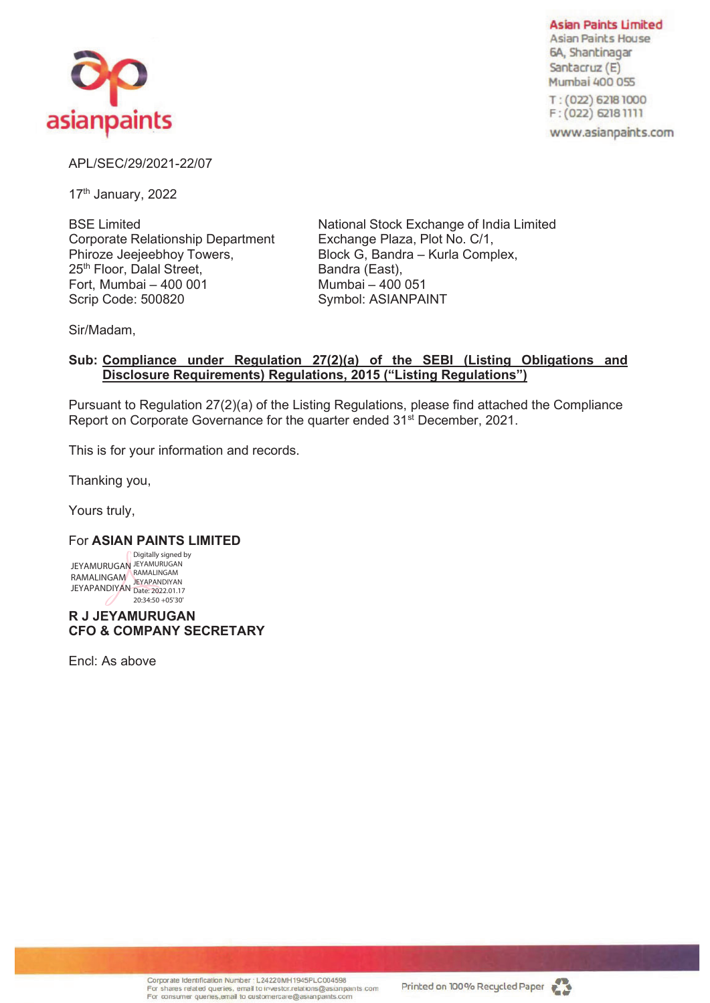

**Asian Paints Limited Asian Paints House** 6A, Shantinagar Santacruz (E) Mumbai 400 055 T: (022) 6218 1000

 $F: (022) 62181111$ 

www.asianpaints.com

## APL/SEC/29/2021-22/07

17<sup>th</sup> January, 2022

BSE Limited Corporate Relationship Department Phiroze Jeejeebhoy Towers, 25<sup>th</sup> Floor, Dalal Street, Fort, Mumbai – 400 001 Scrip Code: 500820

National Stock Exchange of India Limited Exchange Plaza, Plot No. C/1, Block G, Bandra – Kurla Complex, Bandra (East), Mumbai – 400 051 Symbol: ASIANPAINT

Sir/Madam,

## **Sub: Compliance under Regulation 27(2)(a) of the SEBI (Listing Obligations and Disclosure Requirements) Regulations, 2015 ("Listing Regulations")**

Pursuant to Regulation 27(2)(a) of the Listing Regulations, please find attached the Compliance Report on Corporate Governance for the quarter ended 31<sup>st</sup> December, 2021.

This is for your information and records.

Thanking you,

Yours truly,

## For **ASIAN PAINTS LIMITED**

JEYAMURUGAN RAMALINGAM **JEYAPANDIYAN** Digitally signed by JEYAMURUGAN RAMALINGAM JEYAPANDIYAN Date: 2022.01.17 20:34:50 +05'30'

**R J JEYAMURUGAN CFO & COMPANY SECRETARY**

Encl: As above

Corporate Identification Number : L24220MH1945PLC004598 For shares related queries, email to investor relations@asianpaints.com<br>For consumer quenes, email to customercare@asianpaints.com

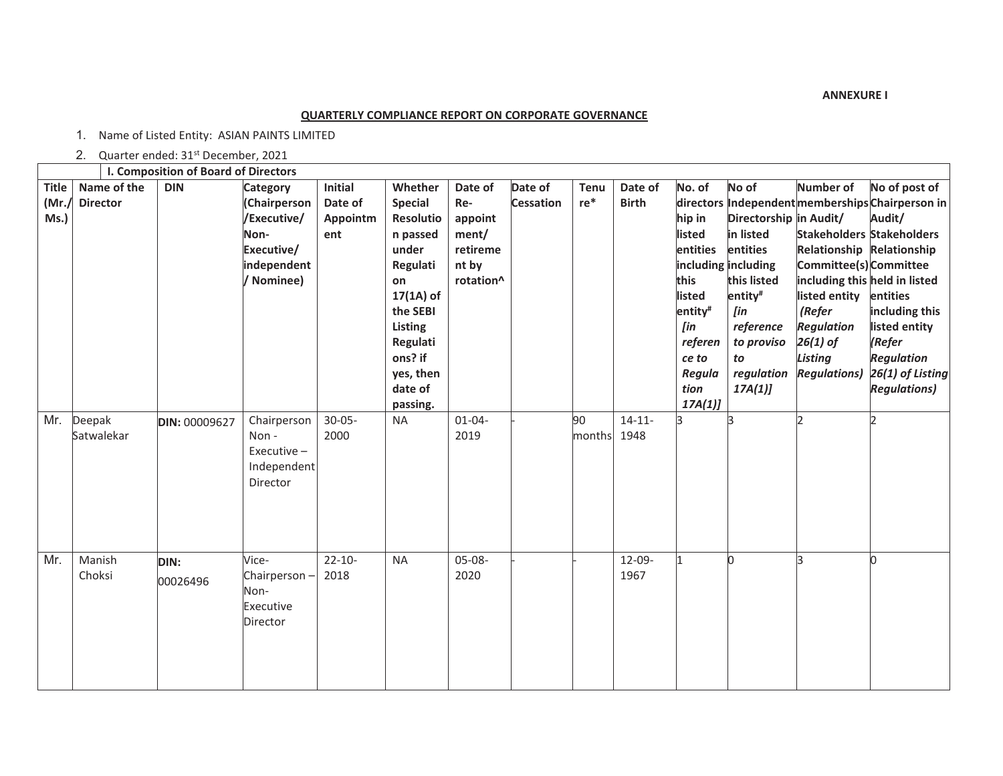**ANNEXURE I**

## **QUARTERLY COMPLIANCE REPORT ON CORPORATE GOVERNANCE**

1. Name of Listed Entity: ASIAN PAINTS LIMITED

2. Quarter ended: 31<sup>st</sup> December, 2021

|                               |                                | I. Composition of Board of Directors |                                                                                                   |                                       |                                                                                                                                                                                       |                                                                      |                             |                       |                         |                                                                                                                            |                                                                                                                                                                                       |                                                                                                                                                                                                         |                                                                                                                                                                                                                                          |
|-------------------------------|--------------------------------|--------------------------------------|---------------------------------------------------------------------------------------------------|---------------------------------------|---------------------------------------------------------------------------------------------------------------------------------------------------------------------------------------|----------------------------------------------------------------------|-----------------------------|-----------------------|-------------------------|----------------------------------------------------------------------------------------------------------------------------|---------------------------------------------------------------------------------------------------------------------------------------------------------------------------------------|---------------------------------------------------------------------------------------------------------------------------------------------------------------------------------------------------------|------------------------------------------------------------------------------------------------------------------------------------------------------------------------------------------------------------------------------------------|
| <b>Title</b><br>(Mr.)<br>Ms.) | Name of the<br><b>Director</b> | <b>DIN</b>                           | <b>Category</b><br>(Chairperson<br>/Executive/<br>Non-<br>Executive/<br>independent<br>/ Nominee) | Initial<br>Date of<br>Appointm<br>ent | Whether<br><b>Special</b><br><b>Resolutio</b><br>n passed<br>under<br>Regulati<br>on<br>$17(1A)$ of<br>the SEBI<br>Listing<br>Regulati<br>ons? if<br>yes, then<br>date of<br>passing. | Date of<br>Re-<br>appoint<br>ment/<br>retireme<br>nt by<br>rotation^ | Date of<br><b>Cessation</b> | <b>Tenu</b><br>$re$ * | Date of<br><b>Birth</b> | No. of<br>hip in<br>listed<br>entities<br>this<br>listed<br>entity#<br>[in<br>referen<br>ce to<br>Regula<br>tion<br>17A(1) | No of<br>Directorship in Audit/<br>in listed<br>entities<br>including including<br>this listed<br>entity <sup>#</sup><br>[in<br>reference<br>to proviso<br>to<br>regulation<br>17A(1) | <b>Number of</b><br>Relationship Relationship<br>Committee(s) Committee<br>including this held in listed<br>listed entity<br>(Refer<br><b>Regulation</b><br>26(1) of<br>Listing<br><b>Regulations</b> ) | No of post of<br>directors Independent memberships Chairperson in<br>Audit/<br><b>Stakeholders Stakeholders</b><br>entities<br>including this<br>listed entity<br>(Refer<br><b>Regulation</b><br>26(1) of Listing<br><b>Regulations)</b> |
| Mr.                           | Deepak<br>Satwalekar           | DIN: 00009627                        | Chairperson<br>Non-<br>Executive-<br>Independent<br>Director                                      | $30 - 05 -$<br>2000                   | <b>NA</b>                                                                                                                                                                             | $01 - 04 -$<br>2019                                                  |                             | 90<br>months 1948     | $14 - 11 -$             | k                                                                                                                          | k                                                                                                                                                                                     | C                                                                                                                                                                                                       |                                                                                                                                                                                                                                          |
| Mr.                           | Manish<br>Choksi               | DIN:<br>00026496                     | Vice-<br>Chairperson-<br>Non-<br>Executive<br>Director                                            | $22 - 10 -$<br>2018                   | <b>NA</b>                                                                                                                                                                             | 05-08-<br>2020                                                       |                             |                       | $12 - 09 -$<br>1967     |                                                                                                                            | n                                                                                                                                                                                     | k                                                                                                                                                                                                       |                                                                                                                                                                                                                                          |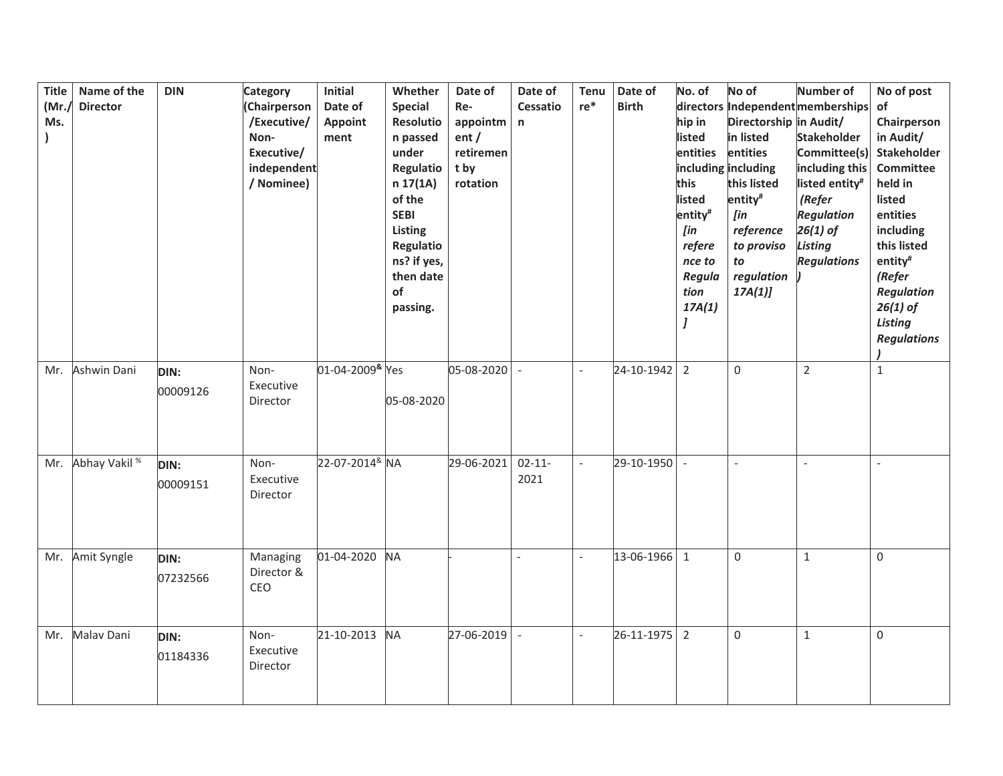| <b>Title</b><br>(Mr.)<br>Ms. | Name of the<br><b>Director</b> | <b>DIN</b>              | <b>Category</b><br>(Chairperson<br>/Executive/<br>Non-<br>Executive/<br>independent<br>/ Nominee) | Initial<br>Date of<br>Appoint<br>ment | Whether<br><b>Special</b><br>Resolutio<br>n passed<br>under<br>Regulatio<br>n 17(1A)<br>of the<br><b>SEBI</b><br>Listing<br>Regulatio<br>ns? if yes,<br>then date<br>of<br>passing. | Date of<br>Re-<br>appointm<br>ent/<br>retiremen<br>t by<br>rotation | Date of<br><b>Cessatio</b><br>$\mathsf{n}$ | <b>Tenu</b><br>$re*$     | Date of<br><b>Birth</b> | No. of<br>hip in<br>listed<br>entities<br>this<br>listed<br>entity <sup>#</sup><br>[in<br>refere<br>nce to<br>Regula<br>tion<br>17A(1)<br>J | No of<br>Directorship in Audit/<br>in listed<br>entities<br>including including<br>this listed<br>entity <sup>#</sup><br>[in<br>reference<br>to proviso<br>to<br>regulation<br>17A(1) | <b>Number of</b><br>directors Independent memberships<br><b>Stakeholder</b><br>Committee(s)<br>including this<br>listed entity <sup>#</sup><br>(Refer<br><b>Regulation</b><br>$26(1)$ of<br>Listing<br><b>Regulations</b> | No of post<br>of<br>Chairperson<br>in Audit/<br>Stakeholder<br>Committee<br>held in<br>listed<br>entities<br>including<br>this listed<br>entity <sup>#</sup><br>(Refer<br><b>Regulation</b><br>$26(1)$ of<br><b>Listing</b><br><b>Regulations</b> |
|------------------------------|--------------------------------|-------------------------|---------------------------------------------------------------------------------------------------|---------------------------------------|-------------------------------------------------------------------------------------------------------------------------------------------------------------------------------------|---------------------------------------------------------------------|--------------------------------------------|--------------------------|-------------------------|---------------------------------------------------------------------------------------------------------------------------------------------|---------------------------------------------------------------------------------------------------------------------------------------------------------------------------------------|---------------------------------------------------------------------------------------------------------------------------------------------------------------------------------------------------------------------------|---------------------------------------------------------------------------------------------------------------------------------------------------------------------------------------------------------------------------------------------------|
|                              | Mr. Ashwin Dani                | DIN:<br>00009126        | Non-<br>Executive<br>Director                                                                     | 01-04-2009 <sup>&amp;</sup> Yes       | 05-08-2020                                                                                                                                                                          | 05-08-2020                                                          | $\bar{\phantom{a}}$                        | $\overline{\phantom{a}}$ | 24-10-1942              | $\overline{2}$                                                                                                                              | $\mathbf 0$                                                                                                                                                                           | $\overline{2}$                                                                                                                                                                                                            | $\mathbf{1}$                                                                                                                                                                                                                                      |
| Mr.                          | Abhay Vakil <sup>%</sup>       | DIN:<br>00009151        | Non-<br>Executive<br>Director                                                                     | 22-07-2014 <sup>&amp;</sup> NA        |                                                                                                                                                                                     | 29-06-2021                                                          | $02 - 11 -$<br>2021                        | $\overline{a}$           | 29-10-1950              |                                                                                                                                             |                                                                                                                                                                                       |                                                                                                                                                                                                                           |                                                                                                                                                                                                                                                   |
| Mr.                          | Amit Syngle                    | <b>DIN:</b><br>07232566 | Managing<br>Director &<br>CEO                                                                     | 01-04-2020                            | <b>NA</b>                                                                                                                                                                           |                                                                     | $\overline{a}$                             | $\overline{\phantom{a}}$ | 13-06-1966 1            |                                                                                                                                             | $\mathbf 0$                                                                                                                                                                           | $\mathbf{1}$                                                                                                                                                                                                              | 0                                                                                                                                                                                                                                                 |
| Mr.                          | Malav Dani                     | DIN:<br>01184336        | Non-<br>Executive<br>Director                                                                     | 21-10-2013                            | <b>NA</b>                                                                                                                                                                           | 27-06-2019                                                          | $\blacksquare$                             | $\bar{\phantom{a}}$      | 26-11-1975              | $\overline{2}$                                                                                                                              | 0                                                                                                                                                                                     | $\mathbf{1}$                                                                                                                                                                                                              | 0                                                                                                                                                                                                                                                 |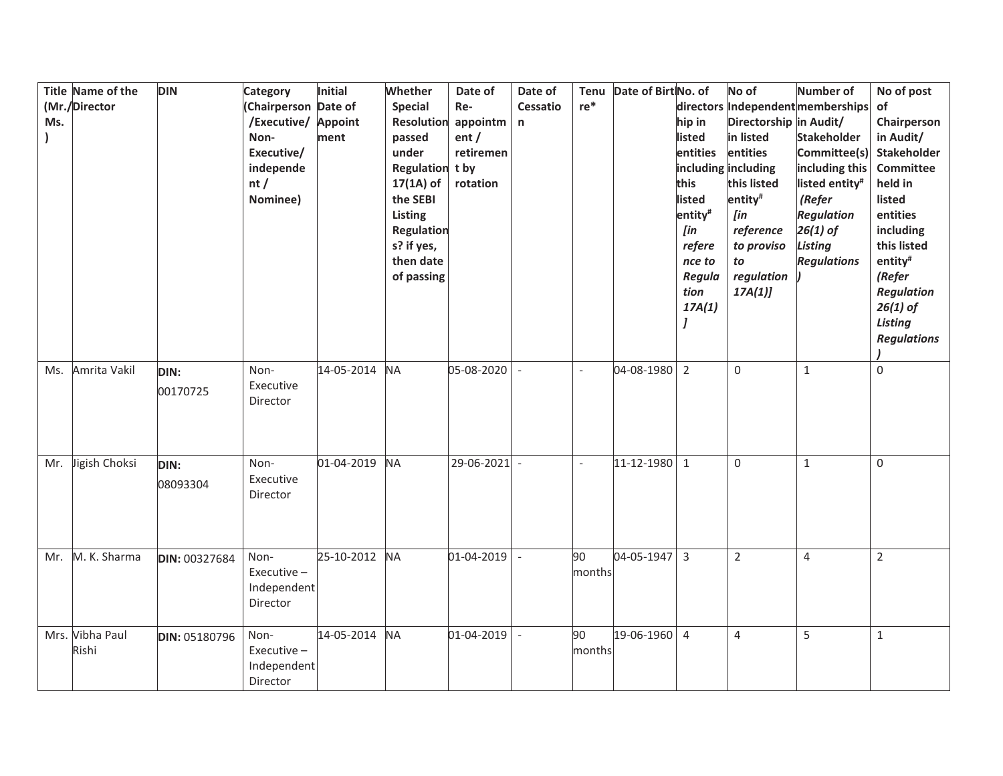| Ms. | Title Name of the<br>(Mr./Director | <b>DIN</b>       | <b>Category</b><br>(Chairperson Date of<br>/Executive/ Appoint<br>Non-<br>Executive/<br>independe<br>nt/<br>Nominee) | Initial<br>ment | Whether<br><b>Special</b><br>Resolution<br>passed<br>under<br>Regulation t by<br>$17(1A)$ of<br>the SEBI<br>Listing<br>Regulation<br>s? if yes,<br>then date<br>of passing | Date of<br>Re-<br>appointm<br>ent/<br>retiremen<br>rotation | Date of<br>Cessatio<br>n | <b>Tenu</b><br>$re^*$    | Date of Birt No. of | hip in<br>listed<br>entities<br>this<br>listed<br>entity <sup>#</sup><br>[in<br>refere<br>nce to<br>Regula<br>tion<br>17A(1) | No of<br>Directorship in Audit/<br>in listed<br>entities<br>including including<br>this listed<br>entity <sup>#</sup><br>$[$ in<br>reference<br>to proviso<br>to<br>regulation<br>17A(1) | Number of<br>directors Independent memberships<br><b>Stakeholder</b><br>Committee(s)<br>including this<br>listed entity <sup>#</sup><br>(Refer<br><b>Regulation</b><br>$26(1)$ of<br>Listing<br><b>Regulations</b> | No of post<br>of<br>Chairperson<br>in Audit/<br><b>Stakeholder</b><br><b>Committee</b><br>held in<br>listed<br>entities<br>including<br>this listed<br>entity <sup>#</sup><br>(Refer<br><b>Regulation</b><br>$26(1)$ of<br>Listing<br><b>Regulations</b> |
|-----|------------------------------------|------------------|----------------------------------------------------------------------------------------------------------------------|-----------------|----------------------------------------------------------------------------------------------------------------------------------------------------------------------------|-------------------------------------------------------------|--------------------------|--------------------------|---------------------|------------------------------------------------------------------------------------------------------------------------------|------------------------------------------------------------------------------------------------------------------------------------------------------------------------------------------|--------------------------------------------------------------------------------------------------------------------------------------------------------------------------------------------------------------------|----------------------------------------------------------------------------------------------------------------------------------------------------------------------------------------------------------------------------------------------------------|
| Ms. | Amrita Vakil                       | DIN:<br>00170725 | Non-<br>Executive<br>Director                                                                                        | 14-05-2014      | <b>NA</b>                                                                                                                                                                  | 05-08-2020                                                  | $\sim$                   | $\overline{a}$           | 04-08-1980          | $\overline{2}$                                                                                                               | $\mathbf 0$                                                                                                                                                                              | $\mathbf{1}$                                                                                                                                                                                                       | 0                                                                                                                                                                                                                                                        |
| Mr. | Jigish Choksi                      | DIN:<br>08093304 | Non-<br>Executive<br>Director                                                                                        | 01-04-2019      | <b>NA</b>                                                                                                                                                                  | 29-06-2021                                                  | $\sim$                   | $\overline{\phantom{a}}$ | 11-12-1980 1        |                                                                                                                              | $\mathsf 0$                                                                                                                                                                              | $\mathbf{1}$                                                                                                                                                                                                       | 0                                                                                                                                                                                                                                                        |
|     | Mr. M. K. Sharma                   | DIN: 00327684    | Non-<br>Executive $-$<br>Independent<br>Director                                                                     | 25-10-2012      | <b>NA</b>                                                                                                                                                                  | 01-04-2019                                                  | $\sim$                   | 90<br>months             | 04-05-1947          | $\overline{3}$                                                                                                               | $\overline{2}$                                                                                                                                                                           | $\overline{4}$                                                                                                                                                                                                     | $\overline{2}$                                                                                                                                                                                                                                           |
|     | Mrs. Vibha Paul<br>Rishi           | DIN: 05180796    | Non-<br>Executive-<br>Independent<br>Director                                                                        | 14-05-2014      | <b>NA</b>                                                                                                                                                                  | 01-04-2019                                                  | $\overline{\phantom{a}}$ | 90<br>months             | 19-06-1960 4        |                                                                                                                              | $\overline{4}$                                                                                                                                                                           | 5                                                                                                                                                                                                                  | $\mathbf{1}$                                                                                                                                                                                                                                             |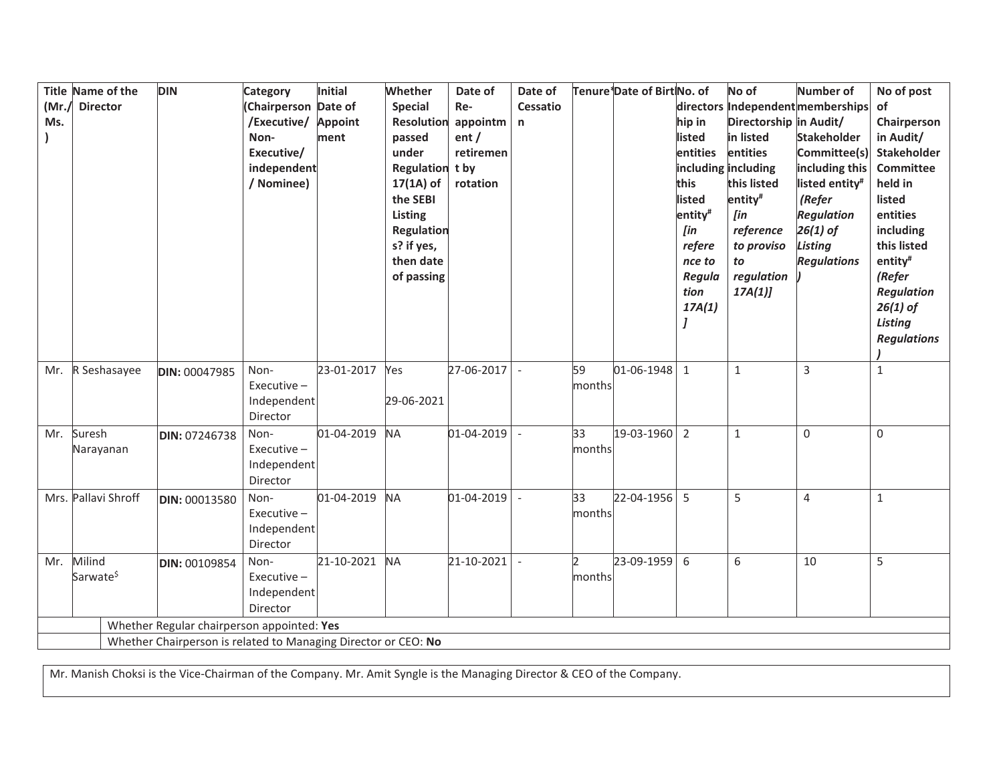| (Mr.)<br>Ms. | Title Name of the<br><b>Director</b> | <b>DIN</b>                                                     | Category<br>Chairperson Date of<br>/Executive/<br>Non-<br>Executive/<br>independent<br>/ Nominee) | Initial<br><b>Appoint</b><br>ment | Whether<br><b>Special</b><br>Resolution<br>passed<br>under<br>Regulation<br>$17(1A)$ of<br>the SEBI<br>Listing<br>Regulation<br>s? if yes,<br>then date<br>of passing | Date of<br>Re-<br>appointm<br>ent/<br>retiremen<br>t by<br>rotation | Date of<br><b>Cessatio</b><br>$\mathsf{n}$ |              | Tenure Date of Birt No. of | directors<br>hip in<br>listed<br>entities<br>this<br>listed<br>entity <sup>#</sup><br>[in<br>refere<br>nce to<br>Regula<br>tion<br>17A(1) | No of<br>Directorship in Audit/<br>in listed<br>entities<br>including including<br>this listed<br>entity <sup>#</sup><br>[in<br>reference<br>to proviso<br>to<br>regulation<br>17A(1) | Number of<br>Independent memberships<br><b>Stakeholder</b><br>Committee(s)<br>including this<br>listed entity <sup>#</sup><br>(Refer<br><b>Regulation</b><br>$26(1)$ of<br>Listing<br><b>Regulations</b> | No of post<br>of<br>Chairperson<br>in Audit/<br>Stakeholder<br>Committee<br>held in<br>listed<br>entities<br>including<br>this listed<br>entity <sup>#</sup><br>(Refer<br><b>Regulation</b><br>$26(1)$ of<br>Listing<br><b>Regulations</b> |
|--------------|--------------------------------------|----------------------------------------------------------------|---------------------------------------------------------------------------------------------------|-----------------------------------|-----------------------------------------------------------------------------------------------------------------------------------------------------------------------|---------------------------------------------------------------------|--------------------------------------------|--------------|----------------------------|-------------------------------------------------------------------------------------------------------------------------------------------|---------------------------------------------------------------------------------------------------------------------------------------------------------------------------------------|----------------------------------------------------------------------------------------------------------------------------------------------------------------------------------------------------------|--------------------------------------------------------------------------------------------------------------------------------------------------------------------------------------------------------------------------------------------|
| Mr.          | R Seshasayee                         | DIN: 00047985                                                  | Non-<br>Executive $-$<br>Independent<br>Director                                                  | 23-01-2017                        | Yes<br>29-06-2021                                                                                                                                                     | 27-06-2017                                                          | $\overline{a}$                             | 59<br>months | $01 - 06 - 1948$ 1         |                                                                                                                                           | $\mathbf 1$                                                                                                                                                                           | 3                                                                                                                                                                                                        | $\mathbf{1}$                                                                                                                                                                                                                               |
| Mr.          | Suresh<br>Narayanan                  | DIN: 07246738                                                  | Non-<br>Executive $-$<br>Independent<br>Director                                                  | 01-04-2019                        | <b>NA</b>                                                                                                                                                             | 01-04-2019                                                          |                                            | 33<br>months | 19-03-1960                 | $\overline{2}$                                                                                                                            | $\mathbf{1}$                                                                                                                                                                          | $\Omega$                                                                                                                                                                                                 | $\Omega$                                                                                                                                                                                                                                   |
|              | Mrs. Pallavi Shroff                  | DIN: 00013580                                                  | Non-<br>Executive $-$<br>Independent<br>Director                                                  | 01-04-2019                        | <b>NA</b>                                                                                                                                                             | 01-04-2019                                                          |                                            | 33<br>months | 22-04-1956 5               |                                                                                                                                           | 5                                                                                                                                                                                     | $\overline{4}$                                                                                                                                                                                           | $\mathbf{1}$                                                                                                                                                                                                                               |
| Mr.          | Milind<br>Sarwate <sup>\$</sup>      | DIN: 00109854                                                  | Non-<br>Executive-<br>Independent<br>Director                                                     | 21-10-2021                        | <b>NA</b>                                                                                                                                                             | 21-10-2021                                                          |                                            | months       | 23-09-1959                 | 6                                                                                                                                         | 6                                                                                                                                                                                     | 10                                                                                                                                                                                                       | 5                                                                                                                                                                                                                                          |
|              |                                      | Whether Regular chairperson appointed: Yes                     |                                                                                                   |                                   |                                                                                                                                                                       |                                                                     |                                            |              |                            |                                                                                                                                           |                                                                                                                                                                                       |                                                                                                                                                                                                          |                                                                                                                                                                                                                                            |
|              |                                      | Whether Chairperson is related to Managing Director or CEO: No |                                                                                                   |                                   |                                                                                                                                                                       |                                                                     |                                            |              |                            |                                                                                                                                           |                                                                                                                                                                                       |                                                                                                                                                                                                          |                                                                                                                                                                                                                                            |

Mr. Manish Choksi is the Vice-Chairman of the Company. Mr. Amit Syngle is the Managing Director & CEO of the Company.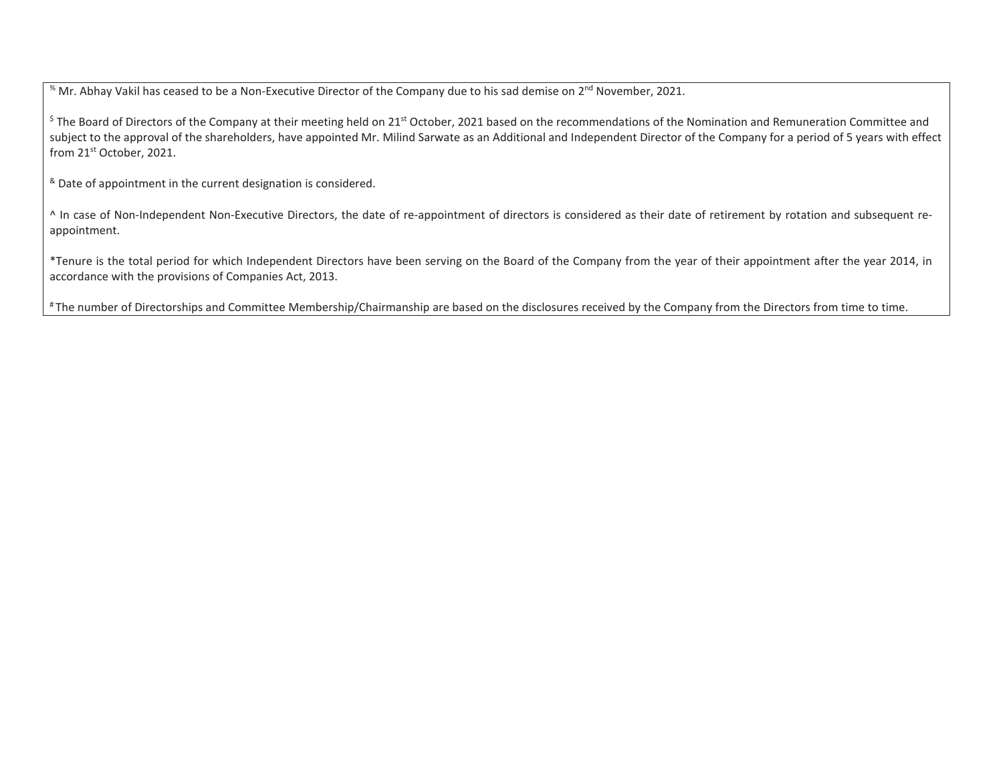<sup>%</sup> Mr. Abhay Vakil has ceased to be a Non-Executive Director of the Company due to his sad demise on 2<sup>nd</sup> November, 2021.

<sup>\$</sup> The Board of Directors of the Company at their meeting held on 21<sup>st</sup> October, 2021 based on the recommendations of the Nomination and Remuneration Committee and subject to the approval of the shareholders, have appointed Mr. Milind Sarwate as an Additional and Independent Director of the Company for a period of 5 years with effect from 21st October, 2021.

& Date of appointment in the current designation is considered.

^ In case of Non-Independent Non-Executive Directors, the date of re-appointment of directors is considered as their date of retirement by rotation and subsequent reappointment.

\*Tenure is the total period for which Independent Directors have been serving on the Board of the Company from the year of their appointment after the year 2014, in accordance with the provisions of Companies Act, 2013.

# The number of Directorships and Committee Membership/Chairmanship are based on the disclosures received by the Company from the Directors from time to time.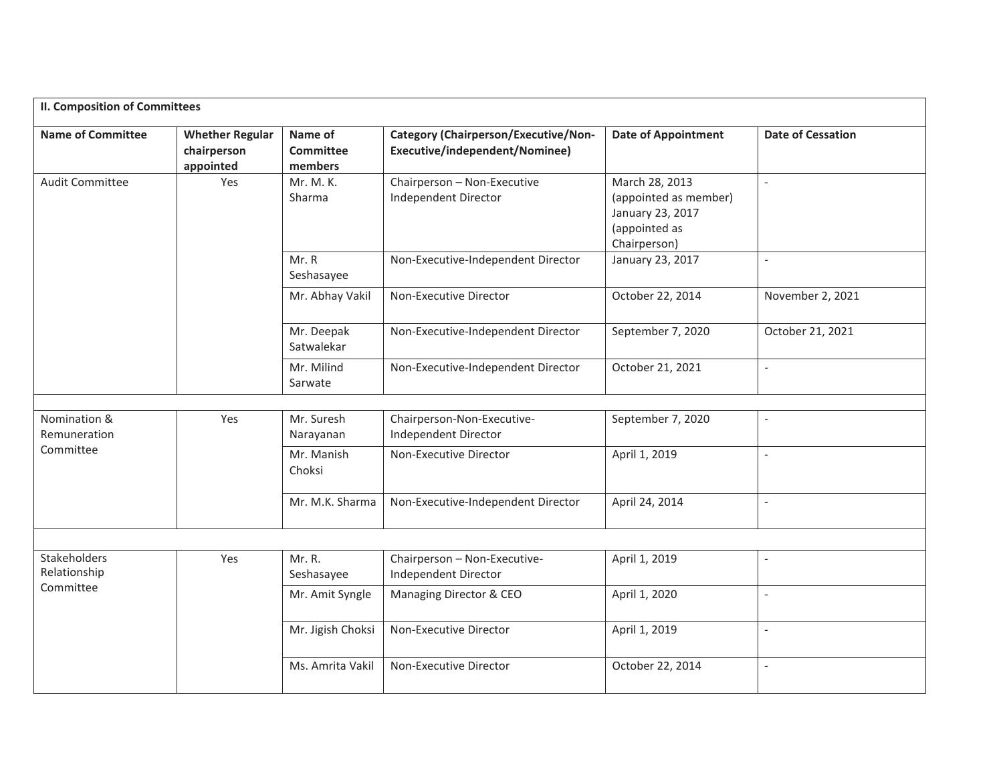| <b>Name of Committee</b>            | <b>Whether Regular</b><br>chairperson<br>appointed | Name of<br><b>Committee</b><br>members | Category (Chairperson/Executive/Non-<br>Executive/independent/Nominee) | <b>Date of Appointment</b>                                                                   | <b>Date of Cessation</b> |
|-------------------------------------|----------------------------------------------------|----------------------------------------|------------------------------------------------------------------------|----------------------------------------------------------------------------------------------|--------------------------|
| <b>Audit Committee</b>              | Yes                                                | Mr. M. K.<br>Sharma                    | Chairperson - Non-Executive<br>Independent Director                    | March 28, 2013<br>(appointed as member)<br>January 23, 2017<br>(appointed as<br>Chairperson) | $\overline{a}$           |
|                                     |                                                    | Mr. R<br>Seshasayee                    | Non-Executive-Independent Director                                     | January 23, 2017                                                                             |                          |
|                                     |                                                    | Mr. Abhay Vakil                        | Non-Executive Director                                                 | October 22, 2014                                                                             | November 2, 2021         |
|                                     |                                                    | Mr. Deepak<br>Satwalekar               | Non-Executive-Independent Director                                     | September 7, 2020                                                                            | October 21, 2021         |
|                                     |                                                    | Mr. Milind<br>Sarwate                  | Non-Executive-Independent Director                                     | October 21, 2021                                                                             | $\overline{a}$           |
|                                     |                                                    |                                        |                                                                        |                                                                                              |                          |
| Nomination &<br>Remuneration        | Yes                                                | Mr. Suresh<br>Narayanan                | Chairperson-Non-Executive-<br>Independent Director                     | September 7, 2020                                                                            | $\overline{a}$           |
| Committee                           |                                                    | Mr. Manish<br>Choksi                   | Non-Executive Director                                                 | April 1, 2019                                                                                | $\overline{\phantom{a}}$ |
|                                     |                                                    | Mr. M.K. Sharma                        | Non-Executive-Independent Director                                     | April 24, 2014                                                                               | $\overline{a}$           |
|                                     |                                                    |                                        |                                                                        |                                                                                              |                          |
| <b>Stakeholders</b><br>Relationship | Yes                                                | Mr. R.<br>Seshasayee                   | Chairperson - Non-Executive-<br>Independent Director                   | April 1, 2019                                                                                | $\overline{\phantom{a}}$ |
| Committee                           |                                                    | Mr. Amit Syngle                        | Managing Director & CEO                                                | April 1, 2020                                                                                | $\overline{a}$           |
|                                     |                                                    | Mr. Jigish Choksi                      | Non-Executive Director                                                 | April 1, 2019                                                                                | $\overline{a}$           |
|                                     |                                                    | Ms. Amrita Vakil                       | Non-Executive Director                                                 | October 22, 2014                                                                             | $\equiv$                 |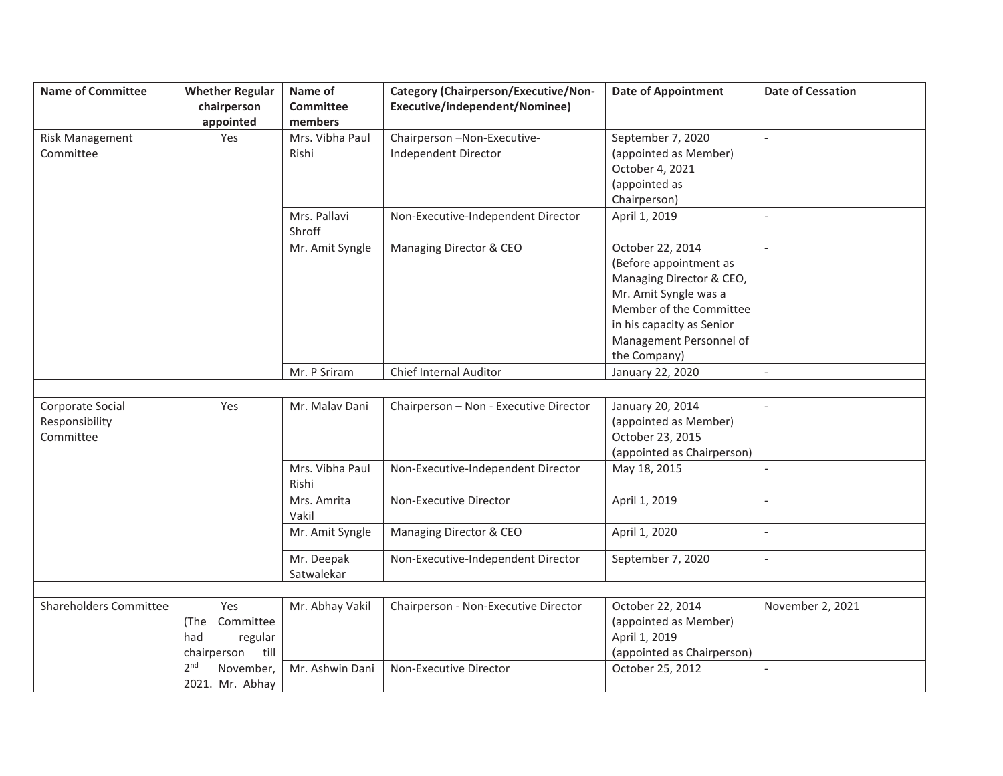| <b>Name of Committee</b>      | <b>Whether Regular</b>       | Name of          | <b>Category (Chairperson/Executive/Non-</b> | <b>Date of Appointment</b> | <b>Date of Cessation</b> |
|-------------------------------|------------------------------|------------------|---------------------------------------------|----------------------------|--------------------------|
|                               | chairperson                  | <b>Committee</b> | Executive/independent/Nominee)              |                            |                          |
|                               | appointed                    | members          |                                             |                            |                          |
| <b>Risk Management</b>        | Yes                          | Mrs. Vibha Paul  | Chairperson-Non-Executive-                  | September 7, 2020          | $\overline{a}$           |
| Committee                     |                              | Rishi            | Independent Director                        | (appointed as Member)      |                          |
|                               |                              |                  |                                             | October 4, 2021            |                          |
|                               |                              |                  |                                             | (appointed as              |                          |
|                               |                              |                  |                                             | Chairperson)               |                          |
|                               |                              | Mrs. Pallavi     | Non-Executive-Independent Director          | April 1, 2019              | $\overline{a}$           |
|                               |                              | Shroff           |                                             |                            |                          |
|                               |                              | Mr. Amit Syngle  | Managing Director & CEO                     | October 22, 2014           | $\blacksquare$           |
|                               |                              |                  |                                             | (Before appointment as     |                          |
|                               |                              |                  |                                             | Managing Director & CEO,   |                          |
|                               |                              |                  |                                             | Mr. Amit Syngle was a      |                          |
|                               |                              |                  |                                             | Member of the Committee    |                          |
|                               |                              |                  |                                             | in his capacity as Senior  |                          |
|                               |                              |                  |                                             | Management Personnel of    |                          |
|                               |                              |                  |                                             | the Company)               |                          |
|                               |                              | Mr. P Sriram     | Chief Internal Auditor                      | January 22, 2020           | $\overline{\phantom{a}}$ |
|                               |                              |                  |                                             |                            |                          |
| Corporate Social              | Yes                          | Mr. Malav Dani   | Chairperson - Non - Executive Director      | January 20, 2014           |                          |
| Responsibility                |                              |                  |                                             | (appointed as Member)      |                          |
| Committee                     |                              |                  |                                             | October 23, 2015           |                          |
|                               |                              |                  |                                             | (appointed as Chairperson) |                          |
|                               |                              | Mrs. Vibha Paul  | Non-Executive-Independent Director          | May 18, 2015               |                          |
|                               |                              | Rishi            |                                             |                            |                          |
|                               |                              | Mrs. Amrita      | Non-Executive Director                      | April 1, 2019              | $\overline{a}$           |
|                               |                              | Vakil            |                                             |                            |                          |
|                               |                              | Mr. Amit Syngle  | Managing Director & CEO                     | April 1, 2020              |                          |
|                               |                              | Mr. Deepak       | Non-Executive-Independent Director          | September 7, 2020          | $\overline{a}$           |
|                               |                              | Satwalekar       |                                             |                            |                          |
|                               |                              |                  |                                             |                            |                          |
| <b>Shareholders Committee</b> | Yes                          | Mr. Abhay Vakil  | Chairperson - Non-Executive Director        | October 22, 2014           | November 2, 2021         |
|                               | Committee<br>(The            |                  |                                             | (appointed as Member)      |                          |
|                               | had<br>regular               |                  |                                             | April 1, 2019              |                          |
|                               | till<br>chairperson          |                  |                                             | (appointed as Chairperson) |                          |
|                               | 2 <sup>nd</sup><br>November, | Mr. Ashwin Dani  | Non-Executive Director                      | October 25, 2012           |                          |
|                               | 2021. Mr. Abhay              |                  |                                             |                            |                          |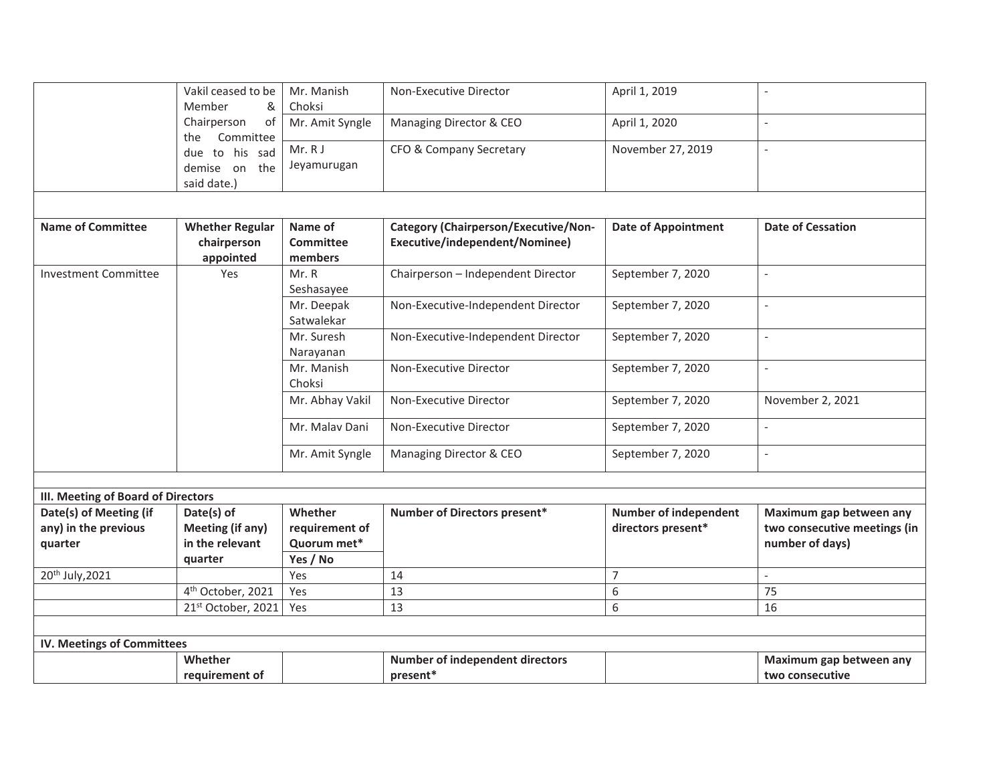|                                    | Vakil ceased to be                 | Mr. Manish      | Non-Executive Director                      | April 1, 2019                |                              |
|------------------------------------|------------------------------------|-----------------|---------------------------------------------|------------------------------|------------------------------|
|                                    | Member<br>&                        | Choksi          |                                             |                              |                              |
|                                    | of<br>Chairperson                  | Mr. Amit Syngle | Managing Director & CEO                     | April 1, 2020                |                              |
|                                    | Committee<br>the<br>due to his sad | Mr. RJ          | CFO & Company Secretary                     | November 27, 2019            | $\overline{a}$               |
|                                    |                                    | Jeyamurugan     |                                             |                              |                              |
|                                    | demise on the                      |                 |                                             |                              |                              |
|                                    | said date.)                        |                 |                                             |                              |                              |
|                                    |                                    |                 |                                             |                              |                              |
| <b>Name of Committee</b>           | <b>Whether Regular</b>             | Name of         | <b>Category (Chairperson/Executive/Non-</b> | <b>Date of Appointment</b>   | <b>Date of Cessation</b>     |
|                                    | chairperson                        | Committee       | Executive/independent/Nominee)              |                              |                              |
|                                    | appointed                          | members         |                                             |                              |                              |
| <b>Investment Committee</b>        | Yes                                | Mr. R           | Chairperson - Independent Director          | September 7, 2020            | $\overline{\phantom{a}}$     |
|                                    |                                    | Seshasayee      |                                             |                              |                              |
|                                    |                                    | Mr. Deepak      | Non-Executive-Independent Director          | September 7, 2020            | $\overline{a}$               |
|                                    |                                    | Satwalekar      |                                             |                              |                              |
|                                    |                                    | Mr. Suresh      | Non-Executive-Independent Director          | September 7, 2020            |                              |
|                                    |                                    | Narayanan       |                                             |                              |                              |
|                                    |                                    | Mr. Manish      | Non-Executive Director                      | September 7, 2020            | $\mathcal{L}$                |
|                                    |                                    | Choksi          |                                             |                              |                              |
|                                    |                                    | Mr. Abhay Vakil | Non-Executive Director                      | September 7, 2020            | November 2, 2021             |
|                                    |                                    | Mr. Malav Dani  | Non-Executive Director                      | September 7, 2020            |                              |
|                                    |                                    | Mr. Amit Syngle | Managing Director & CEO                     | September 7, 2020            | $\overline{a}$               |
|                                    |                                    |                 |                                             |                              |                              |
| III. Meeting of Board of Directors |                                    |                 |                                             |                              |                              |
| Date(s) of Meeting (if             | Date(s) of                         | Whether         | Number of Directors present*                | <b>Number of independent</b> | Maximum gap between any      |
| any) in the previous               | <b>Meeting (if any)</b>            | requirement of  |                                             | directors present*           | two consecutive meetings (in |
| quarter                            | in the relevant                    | Quorum met*     |                                             |                              | number of days)              |
|                                    | quarter                            | Yes / No        |                                             |                              |                              |
| 20 <sup>th</sup> July, 2021        |                                    | Yes             | 14                                          | $\overline{7}$               |                              |
|                                    | 4 <sup>th</sup> October, 2021      | Yes             | 13                                          | 6                            | 75                           |
|                                    | 21st October, 2021                 | Yes             | 13                                          | 6                            | 16                           |
|                                    |                                    |                 |                                             |                              |                              |
| IV. Meetings of Committees         |                                    |                 |                                             |                              |                              |
|                                    | Whether                            |                 | Number of independent directors             |                              | Maximum gap between any      |
|                                    | requirement of                     |                 | present*                                    |                              | two consecutive              |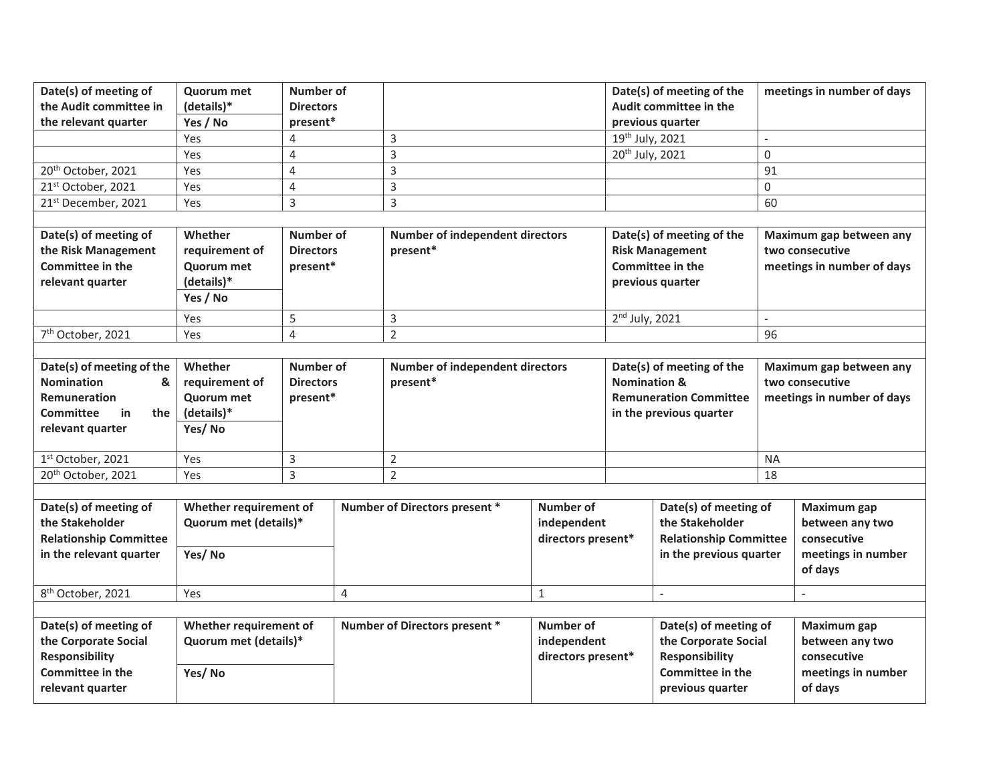| Date(s) of meeting of<br>the Audit committee in<br>the relevant quarter                                                  | <b>Quorum met</b><br>(details)*<br>Yes / No                            | <b>Number of</b><br><b>Directors</b><br>present* |                |                                                    |                                                       |                             | Date(s) of meeting of the<br>Audit committee in the<br>previous quarter                              |             | meetings in number of days                                                     |
|--------------------------------------------------------------------------------------------------------------------------|------------------------------------------------------------------------|--------------------------------------------------|----------------|----------------------------------------------------|-------------------------------------------------------|-----------------------------|------------------------------------------------------------------------------------------------------|-------------|--------------------------------------------------------------------------------|
|                                                                                                                          | Yes                                                                    | 4                                                |                | $\overline{3}$                                     |                                                       | 19th July, 2021             |                                                                                                      |             |                                                                                |
|                                                                                                                          | Yes                                                                    | $\overline{4}$                                   |                | $\overline{3}$                                     |                                                       | 20 <sup>th</sup> July, 2021 |                                                                                                      | $\mathbf 0$ |                                                                                |
| 20 <sup>th</sup> October, 2021                                                                                           | Yes                                                                    | $\overline{4}$                                   |                | 3                                                  |                                                       |                             |                                                                                                      | 91          |                                                                                |
| 21st October, 2021                                                                                                       | Yes                                                                    | 4                                                |                | 3                                                  |                                                       |                             |                                                                                                      | 0           |                                                                                |
| 21st December, 2021                                                                                                      | Yes                                                                    | 3                                                |                | 3                                                  |                                                       |                             |                                                                                                      | 60          |                                                                                |
|                                                                                                                          |                                                                        |                                                  |                |                                                    |                                                       |                             |                                                                                                      |             |                                                                                |
| Date(s) of meeting of<br>the Risk Management<br><b>Committee in the</b><br>relevant quarter                              | Whether<br>requirement of<br>Quorum met<br>(details)*<br>Yes / No      | <b>Number of</b><br><b>Directors</b><br>present* |                | <b>Number of independent directors</b><br>present* |                                                       |                             | Date(s) of meeting of the<br><b>Risk Management</b><br><b>Committee in the</b><br>previous quarter   |             | Maximum gap between any<br>two consecutive<br>meetings in number of days       |
|                                                                                                                          | Yes                                                                    | 5                                                |                | 3                                                  |                                                       | $2nd$ July, 2021            |                                                                                                      |             |                                                                                |
| 7 <sup>th</sup> October, 2021                                                                                            | Yes                                                                    | $\overline{4}$                                   |                | $\overline{2}$                                     |                                                       |                             |                                                                                                      | 96          |                                                                                |
|                                                                                                                          |                                                                        |                                                  |                |                                                    |                                                       |                             |                                                                                                      |             |                                                                                |
| Date(s) of meeting of the<br><b>Nomination</b><br>&<br><b>Remuneration</b><br>Committee<br>in<br>the<br>relevant quarter | Whether<br>requirement of<br><b>Quorum met</b><br>(details)*<br>Yes/No | Number of<br><b>Directors</b><br>present*        |                | <b>Number of independent directors</b><br>present* |                                                       | <b>Nomination &amp;</b>     | Date(s) of meeting of the<br><b>Remuneration Committee</b><br>in the previous quarter                |             | Maximum gap between any<br>two consecutive<br>meetings in number of days       |
| 1st October, 2021                                                                                                        | Yes                                                                    | 3                                                |                | $\overline{2}$                                     |                                                       |                             |                                                                                                      | <b>NA</b>   |                                                                                |
| 20 <sup>th</sup> October, 2021                                                                                           | Yes                                                                    | 3                                                |                | $\overline{2}$                                     |                                                       |                             |                                                                                                      | 18          |                                                                                |
| Date(s) of meeting of<br>the Stakeholder<br><b>Relationship Committee</b><br>in the relevant quarter                     | Whether requirement of<br>Quorum met (details)*<br>Yes/No              |                                                  |                | Number of Directors present *                      | <b>Number of</b><br>independent<br>directors present* |                             | Date(s) of meeting of<br>the Stakeholder<br><b>Relationship Committee</b><br>in the previous quarter |             | Maximum gap<br>between any two<br>consecutive<br>meetings in number<br>of days |
| 8 <sup>th</sup> October, 2021                                                                                            | Yes                                                                    |                                                  | $\overline{4}$ |                                                    | $\mathbf{1}$                                          |                             |                                                                                                      |             |                                                                                |
|                                                                                                                          |                                                                        |                                                  |                |                                                    |                                                       |                             |                                                                                                      |             |                                                                                |
| Date(s) of meeting of<br>the Corporate Social<br><b>Responsibility</b>                                                   | Whether requirement of<br>Quorum met (details)*                        |                                                  |                | Number of Directors present *                      | Number of<br>independent<br>directors present*        |                             | Date(s) of meeting of<br>the Corporate Social<br><b>Responsibility</b>                               |             | Maximum gap<br>between any two<br>consecutive                                  |
| <b>Committee in the</b><br>relevant quarter                                                                              | Yes/No                                                                 |                                                  |                |                                                    |                                                       |                             | <b>Committee in the</b><br>previous quarter                                                          |             | meetings in number<br>of days                                                  |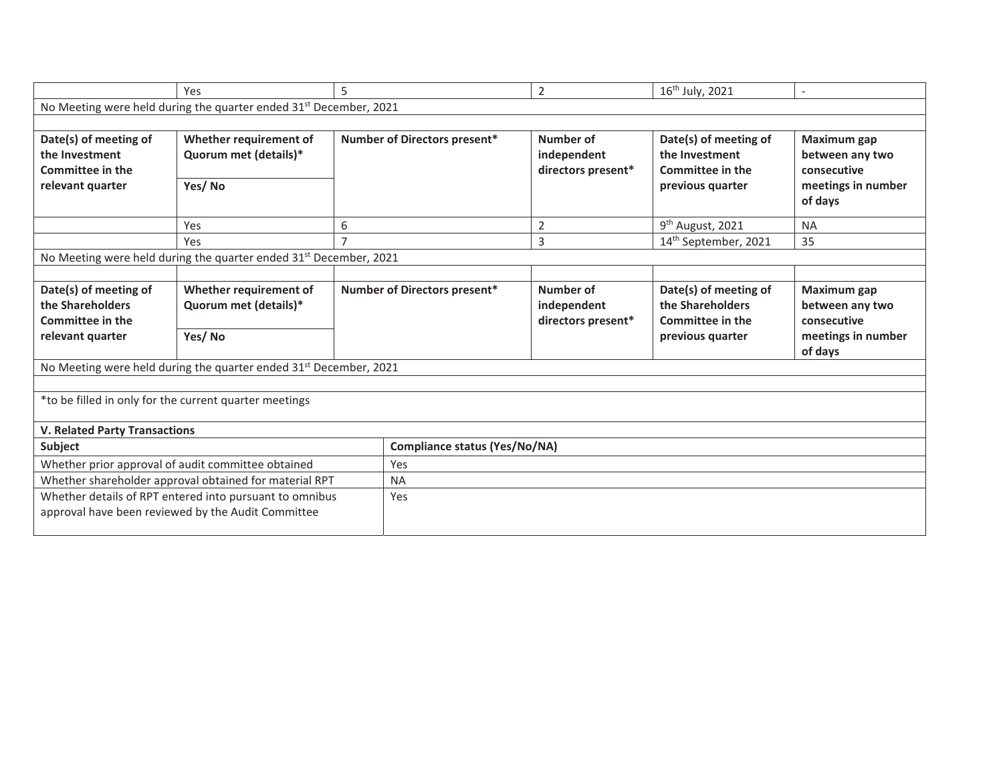|                                                                                        | Yes                                                                           | 5 |                                      | $\overline{2}$                                 | 16 <sup>th</sup> July, 2021                                                            |                                                                                |
|----------------------------------------------------------------------------------------|-------------------------------------------------------------------------------|---|--------------------------------------|------------------------------------------------|----------------------------------------------------------------------------------------|--------------------------------------------------------------------------------|
|                                                                                        | No Meeting were held during the quarter ended 31 <sup>st</sup> December, 2021 |   |                                      |                                                |                                                                                        |                                                                                |
|                                                                                        |                                                                               |   |                                      |                                                |                                                                                        |                                                                                |
| Date(s) of meeting of<br>the Investment<br><b>Committee in the</b><br>relevant quarter | Whether requirement of<br>Quorum met (details)*<br>Yes/No                     |   | Number of Directors present*         | Number of<br>independent<br>directors present* | Date(s) of meeting of<br>the Investment<br><b>Committee in the</b><br>previous quarter | Maximum gap<br>between any two<br>consecutive<br>meetings in number<br>of days |
|                                                                                        | Yes                                                                           | 6 |                                      | $\overline{2}$                                 | 9 <sup>th</sup> August, 2021                                                           | <b>NA</b>                                                                      |
|                                                                                        | Yes                                                                           |   |                                      | 3                                              | 14th September, 2021                                                                   | 35                                                                             |
|                                                                                        | No Meeting were held during the quarter ended 31 <sup>st</sup> December, 2021 |   |                                      |                                                |                                                                                        |                                                                                |
|                                                                                        |                                                                               |   |                                      |                                                |                                                                                        |                                                                                |
| Date(s) of meeting of<br>the Shareholders<br><b>Committee in the</b>                   | Whether requirement of<br>Quorum met (details)*                               |   | Number of Directors present*         | Number of<br>independent<br>directors present* | Date(s) of meeting of<br>the Shareholders<br><b>Committee in the</b>                   | Maximum gap<br>between any two<br>consecutive                                  |
| relevant quarter                                                                       | Yes/No                                                                        |   |                                      |                                                | previous quarter                                                                       | meetings in number<br>of days                                                  |
|                                                                                        | No Meeting were held during the quarter ended 31 <sup>st</sup> December, 2021 |   |                                      |                                                |                                                                                        |                                                                                |
|                                                                                        |                                                                               |   |                                      |                                                |                                                                                        |                                                                                |
|                                                                                        | *to be filled in only for the current quarter meetings                        |   |                                      |                                                |                                                                                        |                                                                                |
| <b>V. Related Party Transactions</b>                                                   |                                                                               |   |                                      |                                                |                                                                                        |                                                                                |
| Subject                                                                                |                                                                               |   | <b>Compliance status (Yes/No/NA)</b> |                                                |                                                                                        |                                                                                |
|                                                                                        | Whether prior approval of audit committee obtained                            |   | Yes                                  |                                                |                                                                                        |                                                                                |
|                                                                                        | Whether shareholder approval obtained for material RPT                        |   | <b>NA</b>                            |                                                |                                                                                        |                                                                                |
|                                                                                        | Whether details of RPT entered into pursuant to omnibus                       |   | Yes                                  |                                                |                                                                                        |                                                                                |
|                                                                                        | approval have been reviewed by the Audit Committee                            |   |                                      |                                                |                                                                                        |                                                                                |